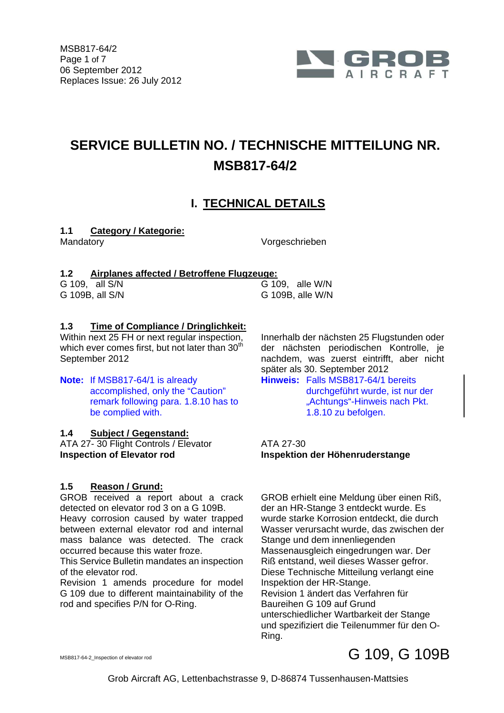

## **SERVICE BULLETIN NO. / TECHNISCHE MITTEILUNG NR. MSB817-64/2**

## **I. TECHNICAL DETAILS**

#### **1.1 Category / Kategorie:**

Mandatory Vorgeschrieben

### **1.2 Airplanes affected / Betroffene Flugzeuge:**

|  | G 109, all S/N  |  |
|--|-----------------|--|
|  | G 109B, all S/N |  |

 $\overline{G}$  109, alle W/N  $G$  109B, alle W/N

### **1.3 Time of Compliance / Dringlichkeit:**

Within next 25 FH or next regular inspection, which ever comes first, but not later than 30<sup>th</sup> September 2012

**Note:** If MSB817-64/1 is already accomplished, only the "Caution" remark following para. 1.8.10 has to be complied with.

### **1.4 Subject / Gegenstand:**

ATA 27-30 Flight Controls / Elevator ATA 27-30 **Inspection of Elevator rod Inspektion der Höhenruderstange** 

### **1.5 Reason / Grund:**

GROB received a report about a crack detected on elevator rod 3 on a G 109B.

Heavy corrosion caused by water trapped between external elevator rod and internal mass balance was detected. The crack occurred because this water froze.

This Service Bulletin mandates an inspection of the elevator rod.

Revision 1 amends procedure for model G 109 due to different maintainability of the rod and specifies P/N for O-Ring.

 Innerhalb der nächsten 25 Flugstunden oder der nächsten periodischen Kontrolle, je nachdem, was zuerst eintrifft, aber nicht später als 30. September 2012

**Hinweis:** Falls MSB817-64/1 bereits durchgeführt wurde, ist nur der "Achtungs"-Hinweis nach Pkt. 1.8.10 zu befolgen.

 GROB erhielt eine Meldung über einen Riß, der an HR-Stange 3 entdeckt wurde. Es wurde starke Korrosion entdeckt, die durch Wasser verursacht wurde, das zwischen der Stange und dem innenliegenden Massenausgleich eingedrungen war. Der Riß entstand, weil dieses Wasser gefror. Diese Technische Mitteilung verlangt eine Inspektion der HR-Stange. Revision 1 ändert das Verfahren für Baureihen G 109 auf Grund unterschiedlicher Wartbarkeit der Stange und spezifiziert die Teilenummer für den O-Ring.

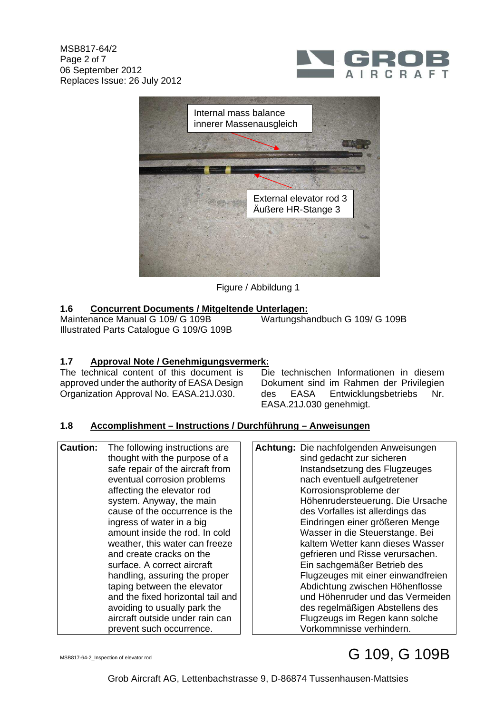



Figure / Abbildung 1

### **1.6 Concurrent Documents / Mitgeltende Unterlagen:**

Maintenance Manual G 109/ G 109B Illustrated Parts Catalogue G 109/G 109B Wartungshandbuch G 109/ G 109B

### **1.7 Approval Note / Genehmigungsvermerk:**

The technical content of this document is approved under the authority of EASA Design Organization Approval No. EASA.21J.030.

 Die technischen Informationen in diesem Dokument sind im Rahmen der Privilegien des EASA Entwicklungsbetriebs Nr. EASA.21J.030 genehmigt.

#### **1.8 Accomplishment – Instructions / Durchführung – Anweisungen**

| thought with the purpose of a<br>safe repair of the aircraft from<br>eventual corrosion problems<br>affecting the elevator rod<br>system. Anyway, the main<br>cause of the occurrence is the<br>ingress of water in a big<br>amount inside the rod. In cold<br>weather, this water can freeze<br>and create cracks on the<br>surface. A correct aircraft<br>handling, assuring the proper<br>taping between the elevator<br>and the fixed horizontal tail and<br>avoiding to usually park the<br>aircraft outside under rain can<br>prevent such occurrence. |                 |                                |                 |
|--------------------------------------------------------------------------------------------------------------------------------------------------------------------------------------------------------------------------------------------------------------------------------------------------------------------------------------------------------------------------------------------------------------------------------------------------------------------------------------------------------------------------------------------------------------|-----------------|--------------------------------|-----------------|
|                                                                                                                                                                                                                                                                                                                                                                                                                                                                                                                                                              | <b>Caution:</b> | The following instructions are | <b>Achtung:</b> |
|                                                                                                                                                                                                                                                                                                                                                                                                                                                                                                                                                              |                 |                                |                 |
|                                                                                                                                                                                                                                                                                                                                                                                                                                                                                                                                                              |                 |                                |                 |
|                                                                                                                                                                                                                                                                                                                                                                                                                                                                                                                                                              |                 |                                |                 |
|                                                                                                                                                                                                                                                                                                                                                                                                                                                                                                                                                              |                 |                                |                 |
|                                                                                                                                                                                                                                                                                                                                                                                                                                                                                                                                                              |                 |                                |                 |
|                                                                                                                                                                                                                                                                                                                                                                                                                                                                                                                                                              |                 |                                |                 |
|                                                                                                                                                                                                                                                                                                                                                                                                                                                                                                                                                              |                 |                                |                 |
|                                                                                                                                                                                                                                                                                                                                                                                                                                                                                                                                                              |                 |                                |                 |
|                                                                                                                                                                                                                                                                                                                                                                                                                                                                                                                                                              |                 |                                |                 |
|                                                                                                                                                                                                                                                                                                                                                                                                                                                                                                                                                              |                 |                                |                 |
|                                                                                                                                                                                                                                                                                                                                                                                                                                                                                                                                                              |                 |                                |                 |
|                                                                                                                                                                                                                                                                                                                                                                                                                                                                                                                                                              |                 |                                |                 |
|                                                                                                                                                                                                                                                                                                                                                                                                                                                                                                                                                              |                 |                                |                 |
|                                                                                                                                                                                                                                                                                                                                                                                                                                                                                                                                                              |                 |                                |                 |
|                                                                                                                                                                                                                                                                                                                                                                                                                                                                                                                                                              |                 |                                |                 |
|                                                                                                                                                                                                                                                                                                                                                                                                                                                                                                                                                              |                 |                                |                 |
|                                                                                                                                                                                                                                                                                                                                                                                                                                                                                                                                                              |                 |                                |                 |

**Achtung:** Die nachfolgenden Anweisungen sind gedacht zur sicheren Instandsetzung des Flugzeuges nach eventuell aufgetretener Korrosionsprobleme der Höhenrudersteuerung. Die Ursache des Vorfalles ist allerdings das Eindringen einer größeren Menge Wasser in die Steuerstange. Bei kaltem Wetter kann dieses Wasser gefrieren und Risse verursachen. Ein sachgemäßer Betrieb des Flugzeuges mit einer einwandfreien Abdichtung zwischen Höhenflosse und Höhenruder und das Vermeiden des regelmäßigen Abstellens des Flugzeugs im Regen kann solche Vorkommnisse verhindern.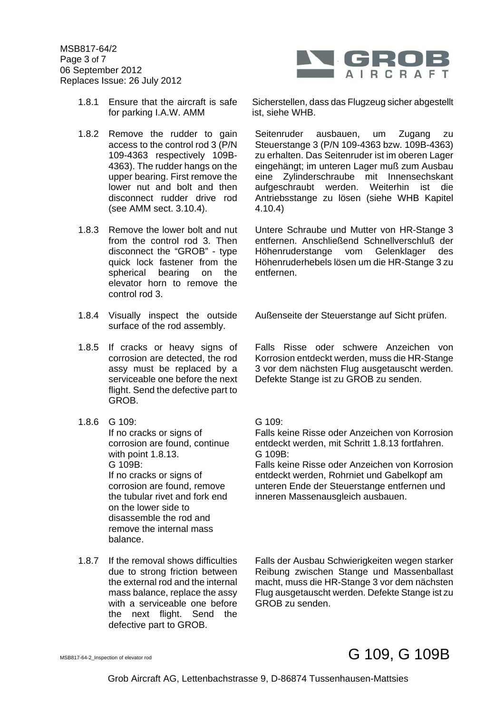MSB817-64/2 Page 3 of 7 06 September 2012 Replaces Issue: 26 July 2012



- 1.8.1 Ensure that the aircraft is safe for parking I.A.W. AMM
- 1.8.2 Remove the rudder to gain access to the control rod 3 (P/N 109-4363 respectively 109B-4363). The rudder hangs on the upper bearing. First remove the lower nut and bolt and then disconnect rudder drive rod (see AMM sect. 3.10.4).
- 1.8.3 Remove the lower bolt and nut from the control rod 3. Then disconnect the "GROB" - type quick lock fastener from the spherical bearing on the elevator horn to remove the control rod 3.
- 1.8.4 Visually inspect the outside surface of the rod assembly.
- 1.8.5 If cracks or heavy signs of corrosion are detected, the rod assy must be replaced by a serviceable one before the next flight. Send the defective part to GROB.
- 1.8.6 G 109:

If no cracks or signs of corrosion are found, continue with point 1.8.13. G 109B: If no cracks or signs of corrosion are found, remove the tubular rivet and fork end on the lower side to disassemble the rod and remove the internal mass balance.

1.8.7 If the removal shows difficulties due to strong friction between the external rod and the internal mass balance, replace the assy with a serviceable one before the next flight. Send the defective part to GROB.

 Sicherstellen, dass das Flugzeug sicher abgestellt ist, siehe WHB.

 Seitenruder ausbauen, um Zugang zu Steuerstange 3 (P/N 109-4363 bzw. 109B-4363) zu erhalten. Das Seitenruder ist im oberen Lager eingehängt; im unteren Lager muß zum Ausbau eine Zylinderschraube mit Innensechskant aufgeschraubt werden. Weiterhin ist die Antriebsstange zu lösen (siehe WHB Kapitel 4.10.4)

 Untere Schraube und Mutter von HR-Stange 3 entfernen. Anschließend Schnellverschluß der Höhenruderstange vom Gelenklager des Höhenruderhebels lösen um die HR-Stange 3 zu entfernen.

Außenseite der Steuerstange auf Sicht prüfen.

 Falls Risse oder schwere Anzeichen von Korrosion entdeckt werden, muss die HR-Stange 3 vor dem nächsten Flug ausgetauscht werden. Defekte Stange ist zu GROB zu senden.

 $G$  109 $\cdot$ 

Falls keine Risse oder Anzeichen von Korrosion entdeckt werden, mit Schritt 1.8.13 fortfahren. G 109B:

Falls keine Risse oder Anzeichen von Korrosion entdeckt werden, Rohrniet und Gabelkopf am unteren Ende der Steuerstange entfernen und inneren Massenausgleich ausbauen.

 Falls der Ausbau Schwierigkeiten wegen starker Reibung zwischen Stange und Massenballast macht, muss die HR-Stange 3 vor dem nächsten Flug ausgetauscht werden. Defekte Stange ist zu GROB zu senden.

## MSB817-64-2\_Inspection of elevator rod  $\overline{G}$  109,  $\overline{G}$  109B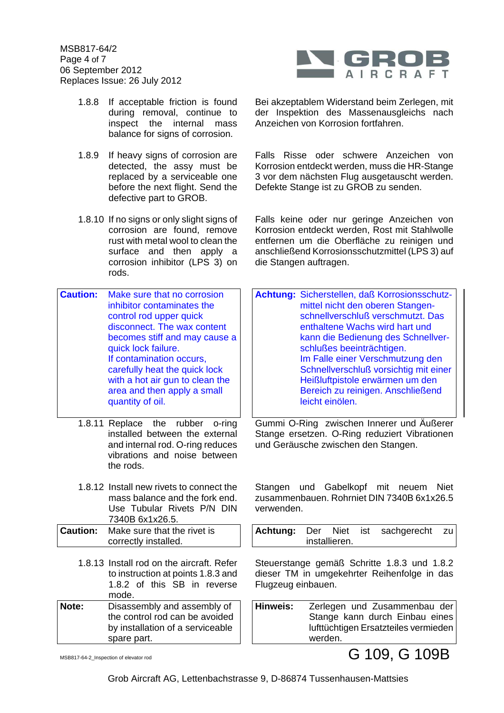MSB817-64/2 Page 4 of 7 06 September 2012 Replaces Issue: 26 July 2012



- 1.8.8 If acceptable friction is found during removal, continue to inspect the internal mass balance for signs of corrosion.
- 1.8.9 If heavy signs of corrosion are detected, the assy must be replaced by a serviceable one before the next flight. Send the defective part to GROB.
- 1.8.10 If no signs or only slight signs of corrosion are found, remove rust with metal wool to clean the surface and then apply a corrosion inhibitor (LPS 3) on rods.

| becomes stiff and may cause a   |
|---------------------------------|
|                                 |
|                                 |
|                                 |
| with a hot air gun to clean the |
|                                 |
|                                 |
| disconnect. The wax content     |

- 1.8.11 Replace the rubber o-ring installed between the external and internal rod. O-ring reduces vibrations and noise between the rods.
- 1.8.12 Install new rivets to connect the mass balance and the fork end. Use Tubular Rivets P/N DIN 7340B 6x1x26.5.

| <b>Caution:</b> Make sure that the rivet is |
|---------------------------------------------|
| correctly installed.                        |

1.8.13 Install rod on the aircraft. Refer to instruction at points 1.8.3 and 1.8.2 of this SB in reverse mode. **Note:** Disassembly and assembly of the control rod can be avoided by installation of a serviceable

 Bei akzeptablem Widerstand beim Zerlegen, mit der Inspektion des Massenausgleichs nach Anzeichen von Korrosion fortfahren.

 Falls Risse oder schwere Anzeichen von Korrosion entdeckt werden, muss die HR-Stange 3 vor dem nächsten Flug ausgetauscht werden. Defekte Stange ist zu GROB zu senden.

 Falls keine oder nur geringe Anzeichen von Korrosion entdeckt werden, Rost mit Stahlwolle entfernen um die Oberfläche zu reinigen und anschließend Korrosionsschutzmittel (LPS 3) auf die Stangen auftragen.

| Achtung: Sicherstellen, daß Korrosionsschutz-<br>mittel nicht den oberen Stangen-<br>schnellverschluß verschmutzt. Das<br>enthaltene Wachs wird hart und<br>kann die Bedienung des Schnellver- |
|------------------------------------------------------------------------------------------------------------------------------------------------------------------------------------------------|
| schlußes beeinträchtigen.                                                                                                                                                                      |
| Im Falle einer Verschmutzung den                                                                                                                                                               |
| Schnellverschluß vorsichtig mit einer                                                                                                                                                          |
| Heißluftpistole erwärmen um den                                                                                                                                                                |
| Bereich zu reinigen. Anschließend<br>leicht einölen.                                                                                                                                           |

 Gummi O-Ring zwischen Innerer und Äußerer Stange ersetzen. O-Ring reduziert Vibrationen und Geräusche zwischen den Stangen.

 Stangen und Gabelkopf mit neuem Niet zusammenbauen. Rohrniet DIN 7340B 6x1x26.5 verwenden.

|  |               | Achtung: Der Niet ist sachgerecht zu |  |
|--|---------------|--------------------------------------|--|
|  | installieren. |                                      |  |

Steuerstange gemäß Schritte 1.8.3 und 1.8.2 dieser TM in umgekehrter Reihenfolge in das Flugzeug einbauen.

**Hinweis:** Zerlegen und Zusammenbau der Stange kann durch Einbau eines lufttüchtigen Ersatzteiles vermieden werden.

MSB817-64-2\_Inspection of elevator rod G 109, G 109B

spare part.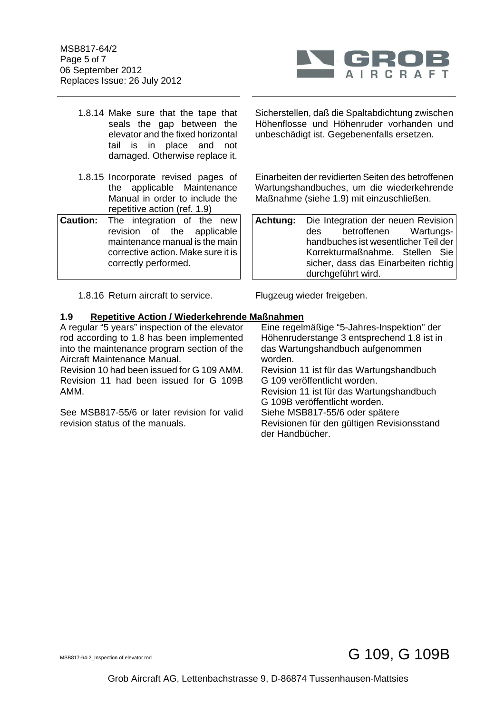MSB817-64/2 Page 5 of 7 06 September 2012 Replaces Issue: 26 July 2012



- 1.8.14 Make sure that the tape that seals the gap between the elevator and the fixed horizontal tail is in place and not damaged. Otherwise replace it.
- 1.8.15 Incorporate revised pages of the applicable Maintenance Manual in order to include the repetitive action (ref. 1.9)
- **Caution:** The integration of the new revision of the applicable maintenance manual is the main corrective action. Make sure it is correctly performed.

Sicherstellen, daß die Spaltabdichtung zwischen Höhenflosse und Höhenruder vorhanden und unbeschädigt ist. Gegebenenfalls ersetzen.

 Einarbeiten der revidierten Seiten des betroffenen Wartungshandbuches, um die wiederkehrende Maßnahme (siehe 1.9) mit einzuschließen.

| <b>Achtung:</b> Die Integration der neuen Revision |                    |  |  |
|----------------------------------------------------|--------------------|--|--|
| des betroffenen Wartungs-                          |                    |  |  |
| handbuches ist wesentlicher Teil der               |                    |  |  |
| Korrekturmaßnahme. Stellen Sie                     |                    |  |  |
| sicher, dass das Einarbeiten richtig               |                    |  |  |
|                                                    | durchgeführt wird. |  |  |

1.8.16 Return aircraft to service. Flugzeug wieder freigeben.

#### **1.9 Repetitive Action / Wiederkehrende Maßnahmen**

A regular "5 years" inspection of the elevator rod according to 1.8 has been implemented into the maintenance program section of the Aircraft Maintenance Manual.

Revision 10 had been issued for G 109 AMM. Revision 11 had been issued for G 109B AMM.

See MSB817-55/6 or later revision for valid revision status of the manuals.

 Eine regelmäßige "5-Jahres-Inspektion" der Höhenruderstange 3 entsprechend 1.8 ist in das Wartungshandbuch aufgenommen worden.

Revision 11 ist für das Wartungshandbuch G 109 veröffentlicht worden.

Revision 11 ist für das Wartungshandbuch G 109B veröffentlicht worden.

Siehe MSB817-55/6 oder spätere

Revisionen für den gültigen Revisionsstand der Handbücher.

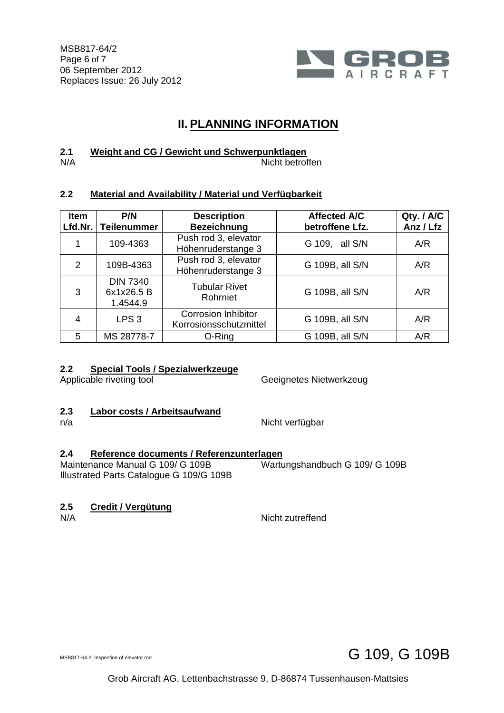

## **II. PLANNING INFORMATION**

#### **2.1 Weight and CG / Gewicht und Schwerpunktlagen**

#### N/A Nicht betroffen

### **2.2 Material and Availability / Material und Verfügbarkeit**

| <b>Item</b><br>Lfd.Nr. | P/N<br><b>Teilenummer</b>                 | <b>Description</b><br><b>Bezeichnung</b>             | <b>Affected A/C</b><br>betroffene Lfz. | Qty. / A/C<br>Anz / Lfz |
|------------------------|-------------------------------------------|------------------------------------------------------|----------------------------------------|-------------------------|
|                        | 109-4363                                  | Push rod 3, elevator<br>Höhenruderstange 3           | G 109, all S/N                         | A/R                     |
| $\mathcal{P}$          | 109B-4363                                 | Push rod 3, elevator<br>Höhenruderstange 3           | G 109B, all S/N                        | A/R                     |
| 3                      | <b>DIN 7340</b><br>6x1x26.5 B<br>1.4544.9 | <b>Tubular Rivet</b><br>Rohrniet                     | G 109B, all S/N                        | A/R                     |
| 4                      | LPS <sub>3</sub>                          | <b>Corrosion Inhibitor</b><br>Korrosionsschutzmittel | G 109B, all S/N                        | A/R                     |
| 5                      | MS 28778-7                                | O-Ring                                               | G 109B, all S/N                        | A/R                     |

### **2.2 Special Tools / Spezialwerkzeuge**

Applicable riveting tool **Geeignetes Nietwerkzeug** 

Wartungshandbuch G 109/ G 109B

# 2.3 **Labor costs / Arbeitsaufwand**<br>n/a

Nicht verfügbar

### **2.4 Reference documents / Referenzunterlagen**

Maintenance Manual G 109/ G 109B Illustrated Parts Catalogue G 109/G 109B

### **2.5 Credit / Vergütung**

N/A Nicht zutreffend

MSB817-64-2\_Inspection of elevator rod G 109, G 109B

Grob Aircraft AG, Lettenbachstrasse 9, D-86874 Tussenhausen-Mattsies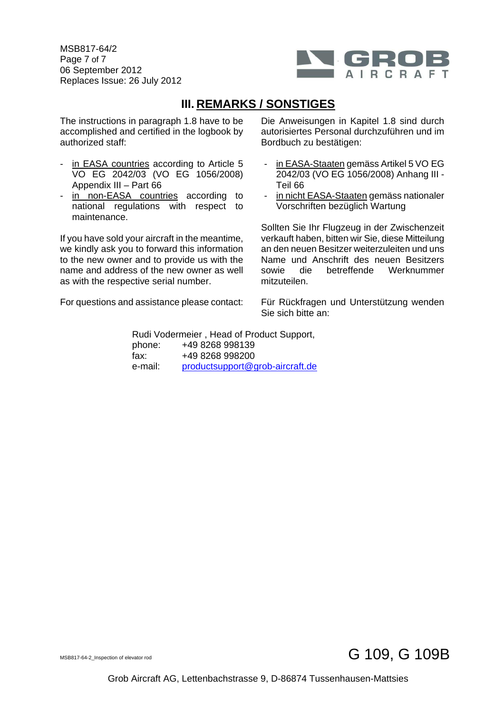MSB817-64/2 Page 7 of 7 06 September 2012 Replaces Issue: 26 July 2012



## **III. REMARKS / SONSTIGES**

The instructions in paragraph 1.8 have to be accomplished and certified in the logbook by authorized staff:

- in EASA countries according to Article 5 VO EG 2042/03 (VO EG 1056/2008) Appendix III – Part 66
- in non-EASA countries according to national regulations with respect to maintenance.

If you have sold your aircraft in the meantime, we kindly ask you to forward this information to the new owner and to provide us with the name and address of the new owner as well as with the respective serial number.

For questions and assistance please contact:

 Die Anweisungen in Kapitel 1.8 sind durch autorisiertes Personal durchzuführen und im Bordbuch zu bestätigen:

- in EASA-Staaten gemäss Artikel 5 VO EG 2042/03 (VO EG 1056/2008) Anhang III - Teil 66
- in nicht EASA-Staaten gemäss nationaler Vorschriften bezüglich Wartung

Sollten Sie Ihr Flugzeug in der Zwischenzeit verkauft haben, bitten wir Sie, diese Mitteilung an den neuen Besitzer weiterzuleiten und uns Name und Anschrift des neuen Besitzers sowie die betreffende Werknummer mitzuteilen.

Für Rückfragen und Unterstützung wenden Sie sich bitte an:

 Rudi Vodermeier , Head of Product Support, phone: +49 8268 998139 fax: +49 8268 998200 e-mail: productsupport@grob-aircraft.de



Grob Aircraft AG, Lettenbachstrasse 9, D-86874 Tussenhausen-Mattsies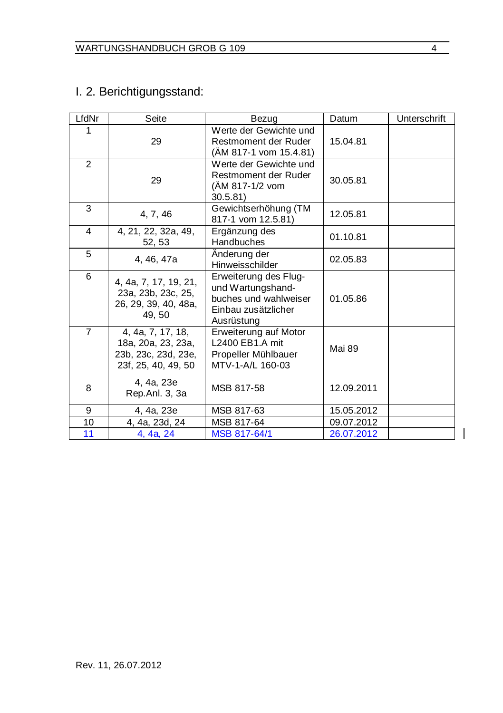### I. 2. Berichtigungsstand:

| LfdNr          | Seite                                                                                 | Bezug                                                                                                    | Datum      | Unterschrift |
|----------------|---------------------------------------------------------------------------------------|----------------------------------------------------------------------------------------------------------|------------|--------------|
| 1              | 29                                                                                    | Werte der Gewichte und<br>Restmoment der Ruder<br>(ÄM 817-1 vom 15.4.81)                                 | 15.04.81   |              |
| $\overline{2}$ | 29                                                                                    | Werte der Gewichte und<br>Restmoment der Ruder<br>(AM 817-1/2 vom<br>30.5.81                             | 30.05.81   |              |
| 3              | 4, 7, 46                                                                              | Gewichtserhöhung (TM<br>817-1 vom 12.5.81)                                                               | 12.05.81   |              |
| 4              | 4, 21, 22, 32a, 49,<br>52, 53                                                         | Ergänzung des<br>Handbuches                                                                              | 01.10.81   |              |
| 5              | 4, 46, 47a                                                                            | Anderung der<br>Hinweisschilder                                                                          | 02.05.83   |              |
| 6              | 4, 4a, 7, 17, 19, 21,<br>23a, 23b, 23c, 25,<br>26, 29, 39, 40, 48a,<br>49, 50         | Erweiterung des Flug-<br>und Wartungshand-<br>buches und wahlweiser<br>Einbau zusätzlicher<br>Ausrüstung | 01.05.86   |              |
| $\overline{7}$ | 4, 4a, 7, 17, 18,<br>18a, 20a, 23, 23a,<br>23b, 23c, 23d, 23e,<br>23f, 25, 40, 49, 50 | Erweiterung auf Motor<br>L2400 EB1.A mit<br>Propeller Mühlbauer<br>MTV-1-A/L 160-03                      | Mai 89     |              |
| 8              | 4, 4a, 23e<br>Rep.Anl. 3, 3a                                                          | MSB 817-58                                                                                               | 12.09.2011 |              |
| 9              | 4, 4a, 23e                                                                            | MSB 817-63                                                                                               | 15.05.2012 |              |
| 10             | 4, 4a, 23d, 24                                                                        | MSB 817-64                                                                                               | 09.07.2012 |              |
| 11             | 4, 4a, 24                                                                             | MSB 817-64/1                                                                                             | 26.07.2012 |              |

 $\overline{1}$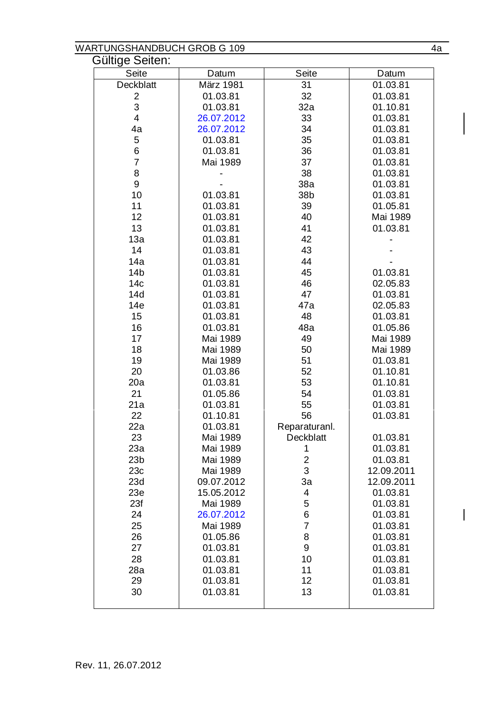#### WARTUNGSHANDBUCH GROB G 109 4a

| Gültige Seiten:        |                      |                            |                      |
|------------------------|----------------------|----------------------------|----------------------|
| Seite                  | Datum                | Seite                      | Datum                |
| Deckblatt              | März 1981            | 31                         | 01.03.81             |
| 2                      | 01.03.81             | 32                         | 01.03.81             |
| 3                      | 01.03.81             | 32a                        | 01.10.81             |
| 4                      | 26.07.2012           | 33                         | 01.03.81             |
| 4a                     | 26.07.2012           | 34                         | 01.03.81             |
| 5                      | 01.03.81             | 35                         | 01.03.81             |
| 6                      | 01.03.81             | 36                         | 01.03.81             |
| 7                      | Mai 1989             | 37                         | 01.03.81             |
| 8                      |                      | 38                         | 01.03.81             |
| 9                      |                      | 38a                        | 01.03.81             |
| 10                     | 01.03.81             | 38b                        | 01.03.81             |
| 11                     | 01.03.81             | 39                         | 01.05.81             |
| 12                     | 01.03.81             | 40                         | Mai 1989             |
| 13                     | 01.03.81             | 41                         | 01.03.81             |
| 13a                    | 01.03.81             | 42                         |                      |
| 14                     | 01.03.81             | 43                         |                      |
| 14a                    | 01.03.81             | 44                         |                      |
| 14 <sub>b</sub>        | 01.03.81             | 45                         | 01.03.81             |
| 14c                    | 01.03.81             | 46                         | 02.05.83             |
| 14d                    | 01.03.81             | 47                         | 01.03.81             |
| 14e                    | 01.03.81             | 47a                        | 02.05.83             |
| 15                     | 01.03.81             | 48                         | 01.03.81             |
| 16                     | 01.03.81             | 48a                        | 01.05.86             |
| 17                     | Mai 1989             | 49                         | Mai 1989             |
| 18                     | Mai 1989             | 50                         | Mai 1989             |
| 19                     | Mai 1989             | 51                         | 01.03.81             |
| 20                     | 01.03.86             | 52                         | 01.10.81             |
| 20a                    | 01.03.81             | 53                         | 01.10.81             |
| 21                     | 01.05.86             | 54                         | 01.03.81             |
| 21a                    | 01.03.81             | 55                         | 01.03.81             |
| 22                     | 01.10.81             | 56                         | 01.03.81             |
| 22a                    | 01.03.81             | Reparaturanl.<br>Deckblatt |                      |
| 23                     | Mai 1989             |                            | 01.03.81             |
| 23a<br>23 <sub>b</sub> | Mai 1989<br>Mai 1989 | 1<br>$\overline{c}$        | 01.03.81<br>01.03.81 |
| 23c                    | Mai 1989             | 3                          | 12.09.2011           |
| 23d                    | 09.07.2012           | 3a                         | 12.09.2011           |
| 23e                    | 15.05.2012           | 4                          | 01.03.81             |
| 23f                    | Mai 1989             | 5                          | 01.03.81             |
| 24                     | 26.07.2012           | 6                          | 01.03.81             |
| 25                     | Mai 1989             | $\overline{7}$             | 01.03.81             |
| 26                     | 01.05.86             | 8                          | 01.03.81             |
| 27                     | 01.03.81             | 9                          | 01.03.81             |
| 28                     | 01.03.81             | 10                         | 01.03.81             |
| 28a                    | 01.03.81             | 11                         | 01.03.81             |
| 29                     | 01.03.81             | 12                         | 01.03.81             |
| 30                     | 01.03.81             | 13                         | 01.03.81             |
|                        |                      |                            |                      |

 $\overline{\mathsf{I}}$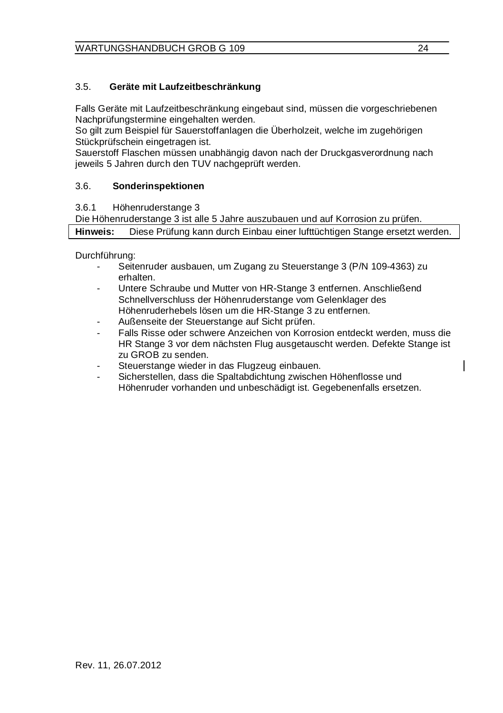#### 3.5. **Geräte mit Laufzeitbeschränkung**

Falls Geräte mit Laufzeitbeschränkung eingebaut sind, müssen die vorgeschriebenen Nachprüfungstermine eingehalten werden.

So gilt zum Beispiel für Sauerstoffanlagen die Überholzeit, welche im zugehörigen Stückprüfschein eingetragen ist.

Sauerstoff Flaschen müssen unabhängig davon nach der Druckgasverordnung nach jeweils 5 Jahren durch den TUV nachgeprüft werden.

#### 3.6. **Sonderinspektionen**

3.6.1 Höhenruderstange 3

Die Höhenruderstange 3 ist alle 5 Jahre auszubauen und auf Korrosion zu prüfen.

**Hinweis:** Diese Prüfung kann durch Einbau einer lufttüchtigen Stange ersetzt werden.

Durchführung:

- Seitenruder ausbauen, um Zugang zu Steuerstange 3 (P/N 109-4363) zu erhalten.
- Untere Schraube und Mutter von HR-Stange 3 entfernen. Anschließend Schnellverschluss der Höhenruderstange vom Gelenklager des Höhenruderhebels lösen um die HR-Stange 3 zu entfernen.
- Außenseite der Steuerstange auf Sicht prüfen.
- Falls Risse oder schwere Anzeichen von Korrosion entdeckt werden, muss die HR Stange 3 vor dem nächsten Flug ausgetauscht werden. Defekte Stange ist zu GROB zu senden.
- Steuerstange wieder in das Flugzeug einbauen.
- Sicherstellen, dass die Spaltabdichtung zwischen Höhenflosse und Höhenruder vorhanden und unbeschädigt ist. Gegebenenfalls ersetzen.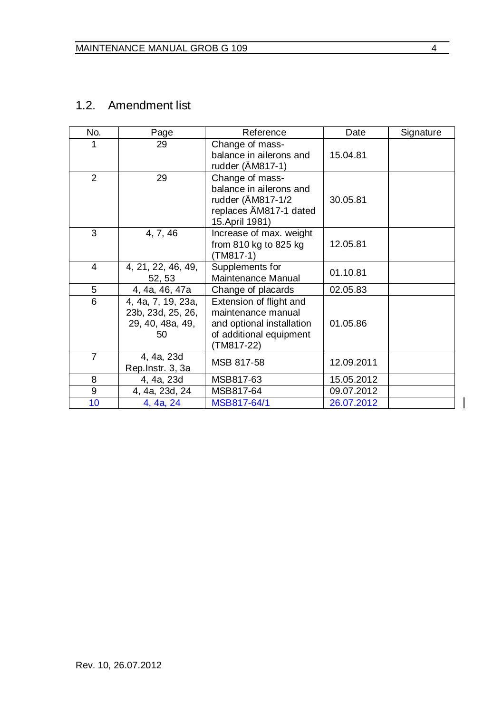#### 1.2. Amendment list

| No.            | Page                                                              | Reference                                                                                                           | Date       | Signature |
|----------------|-------------------------------------------------------------------|---------------------------------------------------------------------------------------------------------------------|------------|-----------|
| 1              | 29                                                                | Change of mass-<br>balance in ailerons and<br>rudder (AM817-1)                                                      | 15.04.81   |           |
| $\overline{2}$ | 29                                                                | Change of mass-<br>balance in ailerons and<br>rudder (AM817-1/2<br>replaces AM817-1 dated<br>15. April 1981)        | 30.05.81   |           |
| 3              | 4, 7, 46                                                          | Increase of max. weight<br>from 810 kg to 825 kg<br>(TM817-1)                                                       | 12.05.81   |           |
| 4              | 4, 21, 22, 46, 49,<br>52, 53                                      | Supplements for<br>Maintenance Manual                                                                               | 01.10.81   |           |
| 5              | 4, 4a, 46, 47a                                                    | Change of placards                                                                                                  | 02.05.83   |           |
| 6              | 4, 4a, 7, 19, 23a,<br>23b, 23d, 25, 26,<br>29, 40, 48a, 49,<br>50 | Extension of flight and<br>maintenance manual<br>and optional installation<br>of additional equipment<br>(TM817-22) | 01.05.86   |           |
| $\overline{7}$ | 4, 4a, 23d<br>Rep.Instr. 3, 3a                                    | MSB 817-58                                                                                                          | 12.09.2011 |           |
| 8              | 4, 4a, 23d                                                        | MSB817-63                                                                                                           | 15.05.2012 |           |
| 9              | 4, 4a, 23d, 24                                                    | MSB817-64                                                                                                           | 09.07.2012 |           |
| 10             | 4, 4a, 24                                                         | MSB817-64/1                                                                                                         | 26.07.2012 |           |

 $\overline{1}$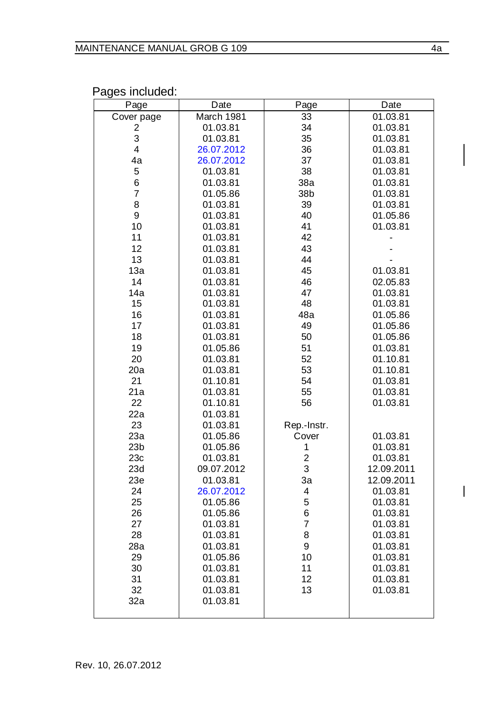Pages included:

| Page            | Date                 | Page           | Date                 |
|-----------------|----------------------|----------------|----------------------|
| Cover page      | March 1981           | 33             | 01.03.81             |
| 2               | 01.03.81             | 34             | 01.03.81             |
| 3               | 01.03.81             | 35             | 01.03.81             |
| $\overline{4}$  | 26.07.2012           | 36             | 01.03.81             |
| 4a              | 26.07.2012           | 37             | 01.03.81             |
| 5               | 01.03.81             | 38             | 01.03.81             |
| 6               | 01.03.81             | 38a            | 01.03.81             |
| 7               | 01.05.86             | 38b            | 01.03.81             |
| 8               | 01.03.81             | 39             | 01.03.81             |
| 9               | 01.03.81             | 40             | 01.05.86             |
| 10              | 01.03.81             | 41             | 01.03.81             |
| 11              | 01.03.81             | 42             |                      |
| 12              | 01.03.81             | 43             |                      |
| 13              | 01.03.81             | 44             |                      |
| 13a<br>14       | 01.03.81             | 45             | 01.03.81             |
| 14a             | 01.03.81<br>01.03.81 | 46<br>47       | 02.05.83<br>01.03.81 |
| 15              |                      | 48             |                      |
| 16              | 01.03.81<br>01.03.81 | 48a            | 01.03.81             |
| 17              | 01.03.81             | 49             | 01.05.86<br>01.05.86 |
| 18              | 01.03.81             | 50             | 01.05.86             |
| 19              | 01.05.86             | 51             | 01.03.81             |
| 20              | 01.03.81             | 52             | 01.10.81             |
| 20a             | 01.03.81             | 53             | 01.10.81             |
| 21              | 01.10.81             | 54             | 01.03.81             |
| 21a             | 01.03.81             | 55             | 01.03.81             |
| 22              | 01.10.81             | 56             | 01.03.81             |
| 22a             | 01.03.81             |                |                      |
| 23              | 01.03.81             | Rep.-Instr.    |                      |
| 23a             | 01.05.86             | Cover          | 01.03.81             |
| 23 <sub>b</sub> | 01.05.86             | 1              | 01.03.81             |
| 23c             | 01.03.81             | $\overline{c}$ | 01.03.81             |
| 23d             | 09.07.2012           | 3              | 12.09.2011           |
| 23e             | 01.03.81             | 3a             | 12.09.2011           |
| 24              | 26.07.2012           | 4              | 01.03.81             |
| 25              | 01.05.86             | 5              | 01.03.81             |
| 26              | 01.05.86             | 6              | 01.03.81             |
| 27              | 01.03.81             | $\overline{7}$ | 01.03.81             |
| 28              | 01.03.81             | 8              | 01.03.81             |
| 28a             | 01.03.81             | 9              | 01.03.81             |
| 29              | 01.05.86             | 10             | 01.03.81             |
| 30              | 01.03.81             | 11             | 01.03.81             |
| 31              | 01.03.81             | 12             | 01.03.81             |
| 32              | 01.03.81             | 13             | 01.03.81             |
| 32a             | 01.03.81             |                |                      |
|                 |                      |                |                      |

 $\overline{1}$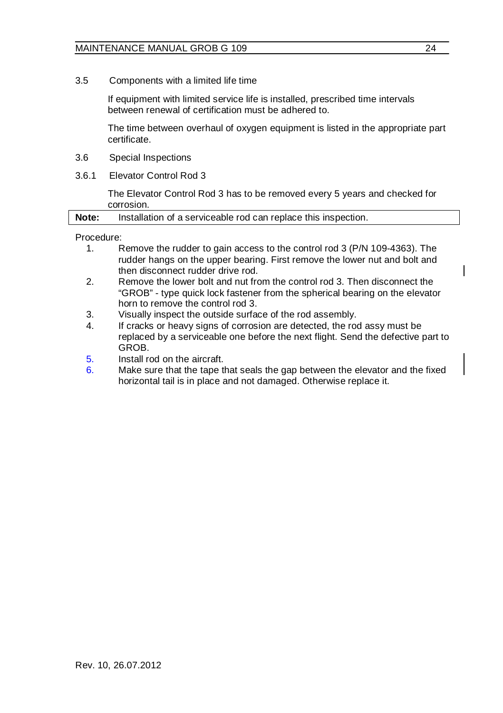3.5 Components with a limited life time

If equipment with limited service life is installed, prescribed time intervals between renewal of certification must be adhered to.

The time between overhaul of oxygen equipment is listed in the appropriate part certificate.

- 3.6 Special Inspections
- 3.6.1 Elevator Control Rod 3

The Elevator Control Rod 3 has to be removed every 5 years and checked for corrosion.

|--|

Procedure:<br>1

- Remove the rudder to gain access to the control rod 3 (P/N 109-4363). The rudder hangs on the upper bearing. First remove the lower nut and bolt and then disconnect rudder drive rod.
- 2. Remove the lower bolt and nut from the control rod 3. Then disconnect the "GROB" - type quick lock fastener from the spherical bearing on the elevator horn to remove the control rod 3.
- 3. Visually inspect the outside surface of the rod assembly.
- 4. If cracks or heavy signs of corrosion are detected, the rod assy must be replaced by a serviceable one before the next flight. Send the defective part to **GROB**
- 5. Install rod on the aircraft.
- 6. Make sure that the tape that seals the gap between the elevator and the fixed horizontal tail is in place and not damaged. Otherwise replace it.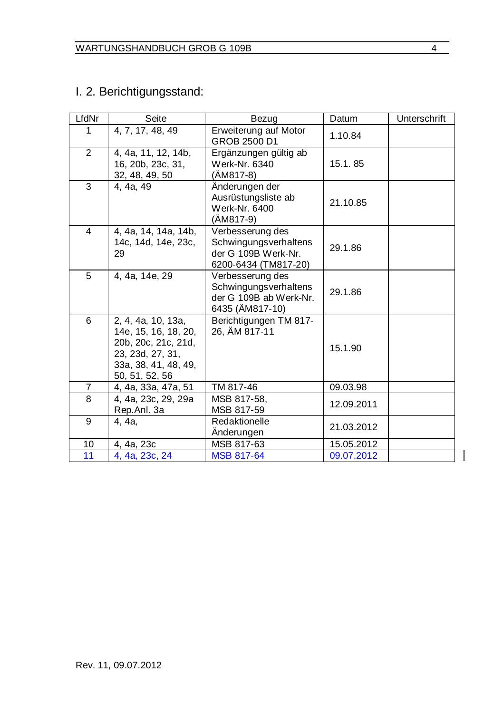### I. 2. Berichtigungsstand:

| LfdNr          | Seite                                                                                                                           | Bezug                                                                                    | Datum      | Unterschrift |
|----------------|---------------------------------------------------------------------------------------------------------------------------------|------------------------------------------------------------------------------------------|------------|--------------|
| 1              | 4, 7, 17, 48, 49                                                                                                                | Erweiterung auf Motor<br>GROB 2500 D1                                                    | 1.10.84    |              |
| $\overline{2}$ | 4, 4a, 11, 12, 14b,<br>16, 20b, 23c, 31,<br>32, 48, 49, 50                                                                      | Ergänzungen gültig ab<br>Werk-Nr. 6340<br>(AM817-8)                                      | 15.1.85    |              |
| 3              | 4, 4a, 49                                                                                                                       | Anderungen der<br>Ausrüstungsliste ab<br>Werk-Nr. 6400<br>(AM817-9)                      | 21.10.85   |              |
| 4              | 4, 4a, 14, 14a, 14b,<br>14c, 14d, 14e, 23c,<br>29                                                                               | Verbesserung des<br>Schwingungsverhaltens<br>der G 109B Werk-Nr.<br>6200-6434 (TM817-20) | 29.1.86    |              |
| 5              | 4, 4a, 14e, 29                                                                                                                  | Verbesserung des<br>Schwingungsverhaltens<br>der G 109B ab Werk-Nr.<br>6435 (AM817-10)   | 29.1.86    |              |
| 6              | 2, 4, 4a, 10, 13a,<br>14e, 15, 16, 18, 20,<br>20b, 20c, 21c, 21d,<br>23, 23d, 27, 31,<br>33a, 38, 41, 48, 49,<br>50, 51, 52, 56 | Berichtigungen TM 817-<br>26, AM 817-11                                                  | 15.1.90    |              |
| 7              | 4, 4a, 33a, 47a, 51                                                                                                             | TM 817-46                                                                                | 09.03.98   |              |
| 8              | 4, 4a, 23c, 29, 29a<br>Rep.Anl. 3a                                                                                              | MSB 817-58.<br>MSB 817-59                                                                | 12.09.2011 |              |
| 9              | 4, 4a,                                                                                                                          | Redaktionelle<br>Anderungen                                                              | 21.03.2012 |              |
| 10             | 4, 4a, 23c                                                                                                                      | MSB 817-63                                                                               | 15.05.2012 |              |
| 11             | 4, 4a, 23c, 24                                                                                                                  | <b>MSB 817-64</b>                                                                        | 09.07.2012 |              |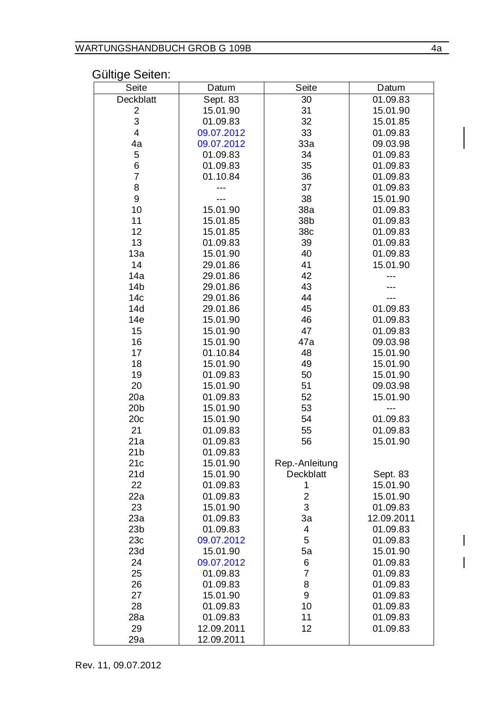#### Gültige Seiten:

| Seite           | Datum      | Seite          | Datum          |
|-----------------|------------|----------------|----------------|
| Deckblatt       | Sept. 83   | 30             | 01.09.83       |
| 2               | 15.01.90   | 31             | 15.01.90       |
| 3               | 01.09.83   | 32             | 15.01.85       |
| 4               | 09.07.2012 | 33             | 01.09.83       |
| 4a              | 09.07.2012 | 33a            | 09.03.98       |
| 5               | 01.09.83   | 34             | 01.09.83       |
| 6               | 01.09.83   | 35             | 01.09.83       |
| 7               | 01.10.84   | 36             | 01.09.83       |
| 8               | ---        | 37             | 01.09.83       |
| 9               | ---        | 38             | 15.01.90       |
| 10              | 15.01.90   | 38a            | 01.09.83       |
| 11              | 15.01.85   | 38b            | 01.09.83       |
| 12              | 15.01.85   | 38c            | 01.09.83       |
| 13              | 01.09.83   | 39             | 01.09.83       |
| 13a             | 15.01.90   | 40             | 01.09.83       |
| 14              | 29.01.86   | 41             | 15.01.90       |
| 14a             | 29.01.86   | 42             | ---            |
| 14 <sub>b</sub> | 29.01.86   | 43             | ---            |
| 14c             | 29.01.86   | 44             | ---            |
| 14d             | 29.01.86   | 45             | 01.09.83       |
| 14e             | 15.01.90   | 46             | 01.09.83       |
| 15              | 15.01.90   | 47             | 01.09.83       |
| 16              | 15.01.90   | 47a            | 09.03.98       |
| 17              | 01.10.84   | 48             | 15.01.90       |
| 18              | 15.01.90   | 49             | 15.01.90       |
| 19              | 01.09.83   | 50             | 15.01.90       |
| 20              | 15.01.90   | 51             | 09.03.98       |
| 20a             | 01.09.83   | 52             | 15.01.90       |
| 20 <sub>b</sub> | 15.01.90   | 53             | $\overline{a}$ |
| 20c             | 15.01.90   | 54             | 01.09.83       |
| 21              | 01.09.83   | 55             | 01.09.83       |
| 21a             | 01.09.83   | 56             | 15.01.90       |
| 21 <sub>b</sub> | 01.09.83   |                |                |
| 21c             | 15.01.90   | Rep.-Anleitung |                |
| 21d             | 15.01.90   | Deckblatt      | Sept. 83       |
| 22              | 01.09.83   | 1              | 15.01.90       |
| 22a             | 01.09.83   | $\overline{c}$ | 15.01.90       |
| 23              | 15.01.90   | 3              | 01.09.83       |
| 23a             | 01.09.83   | 3a             | 12.09.2011     |
| 23 <sub>b</sub> | 01.09.83   | 4              | 01.09.83       |
| 23c             | 09.07.2012 | 5              | 01.09.83       |
| 23d             | 15.01.90   | 5a             | 15.01.90       |
| 24              | 09.07.2012 | 6              | 01.09.83       |
| 25              | 01.09.83   | 7              | 01.09.83       |
| 26              | 01.09.83   | 8              | 01.09.83       |
| 27              | 15.01.90   | 9              | 01.09.83       |
| 28              | 01.09.83   | 10             | 01.09.83       |
| 28a             | 01.09.83   | 11             | 01.09.83       |
| 29              | 12.09.2011 | 12             | 01.09.83       |
| 29a             | 12.09.2011 |                |                |

 $\overline{1}$  $\overline{\phantom{a}}$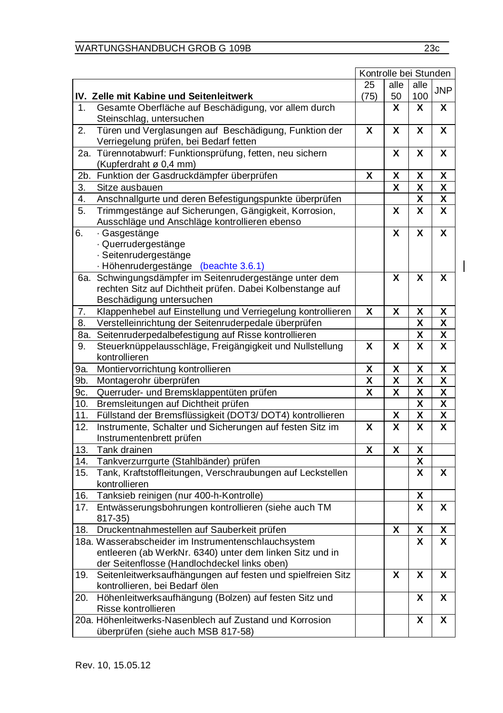$\overline{1}$ 

|                   |                                                                                                 | 25                      | alle                    | alle                    | <b>JNP</b>              |
|-------------------|-------------------------------------------------------------------------------------------------|-------------------------|-------------------------|-------------------------|-------------------------|
|                   | IV. Zelle mit Kabine und Seitenleitwerk                                                         | (75)                    | 50                      | 100                     |                         |
| 1                 | Gesamte Oberfläche auf Beschädigung, vor allem durch<br>Steinschlag, untersuchen                |                         | X                       | X                       | X                       |
| 2.                | Türen und Verglasungen auf Beschädigung, Funktion der<br>Verriegelung prüfen, bei Bedarf fetten | X                       | x                       | x                       | X                       |
| 2a.               | Türennotabwurf: Funktionsprüfung, fetten, neu sichern<br>(Kupferdraht ø 0,4 mm)                 |                         | X                       | X                       | X                       |
| 2b.               | Funktion der Gasdruckdämpfer überprüfen                                                         | X                       | X                       | $\overline{\mathsf{x}}$ | X                       |
| 3.                | Sitze ausbauen                                                                                  |                         | X                       | χ                       | χ                       |
| 4.                | Anschnallgurte und deren Befestigungspunkte überprüfen                                          |                         |                         | $\overline{\mathsf{x}}$ | $\overline{\mathbf{x}}$ |
| 5.                | Trimmgestänge auf Sicherungen, Gängigkeit, Korrosion,                                           |                         | X                       | X                       | X                       |
|                   | Ausschläge und Anschläge kontrollieren ebenso                                                   |                         |                         |                         |                         |
| 6.                | Gasgestänge                                                                                     |                         | X                       | X                       | $\overline{\mathsf{x}}$ |
|                   | · Querrudergestänge                                                                             |                         |                         |                         |                         |
|                   | · Seitenrudergestänge                                                                           |                         |                         |                         |                         |
|                   | · Höhenrudergestänge (beachte 3.6.1)                                                            |                         |                         |                         |                         |
| 6а.               | Schwingungsdämpfer im Seitenrudergestänge unter dem                                             |                         | x                       | X                       | X                       |
|                   | rechten Sitz auf Dichtheit prüfen. Dabei Kolbenstange auf                                       |                         |                         |                         |                         |
|                   | Beschädigung untersuchen                                                                        |                         |                         |                         |                         |
| 7.                | Klappenhebel auf Einstellung und Verriegelung kontrollieren                                     | X                       | X                       | Χ                       | χ                       |
| 8.                | Verstelleinrichtung der Seitenruderpedale überprüfen                                            |                         |                         | X                       | X                       |
| 8a.               | Seitenruderpedalbefestigung auf Risse kontrollieren                                             |                         |                         | χ                       | x                       |
| 9.                | Steuerknüppelausschläge, Freigängigkeit und Nullstellung                                        | X                       | X                       | X                       | X                       |
|                   | kontrollieren                                                                                   |                         |                         |                         |                         |
| 9a.               | Montiervorrichtung kontrollieren                                                                | X                       | X                       | Χ                       | X                       |
| 9b.               | Montagerohr überprüfen                                                                          | X                       | X                       | X                       | X                       |
| 9c.               | Querruder- und Bremsklappentüten prüfen                                                         | $\overline{\mathbf{x}}$ | $\overline{\mathsf{x}}$ | $\overline{\mathbf{x}}$ | $\overline{\mathbf{x}}$ |
| 10.               | Bremsleitungen auf Dichtheit prüfen                                                             |                         |                         | X                       | X                       |
| 11.               | Füllstand der Bremsflüssigkeit (DOT3/DOT4) kontrollieren                                        |                         | $\overline{\mathbf{x}}$ | $\overline{\mathsf{x}}$ | χ                       |
| 12.               | Instrumente, Schalter und Sicherungen auf festen Sitz im                                        | X                       | X                       | X                       | X                       |
|                   | Instrumentenbrett prüfen                                                                        |                         |                         |                         |                         |
| 13.               | Tank drainen                                                                                    | X                       | X                       | X                       |                         |
| 14.               | Tankverzurrgurte (Stahlbänder) prüfen                                                           |                         |                         | X                       |                         |
| 15.               | Tank, Kraftstoffleitungen, Verschraubungen auf Leckstellen                                      |                         |                         | $\overline{\mathbf{x}}$ | x                       |
|                   | kontrollieren                                                                                   |                         |                         |                         |                         |
| 16.               | Tanksieb reinigen (nur 400-h-Kontrolle)                                                         |                         |                         | X                       |                         |
| $\overline{17}$ . | Entwässerungsbohrungen kontrollieren (siehe auch TM                                             |                         |                         | X                       | X                       |
|                   | 817-35)                                                                                         |                         |                         |                         |                         |
| 18.               | Druckentnahmestellen auf Sauberkeit prüfen                                                      |                         | X                       | χ                       | χ                       |
|                   | 18a. Wasserabscheider im Instrumentenschlauchsystem                                             |                         |                         | X                       | X                       |
|                   | entleeren (ab WerkNr. 6340) unter dem linken Sitz und in                                        |                         |                         |                         |                         |
|                   | der Seitenflosse (Handlochdeckel links oben)                                                    |                         |                         |                         |                         |
| 19.               | Seitenleitwerksaufhängungen auf festen und spielfreien Sitz                                     |                         | x                       | X                       | X                       |
|                   | kontrollieren, bei Bedarf ölen                                                                  |                         |                         |                         |                         |
| 20.               | Höhenleitwerksaufhängung (Bolzen) auf festen Sitz und<br>Risse kontrollieren                    |                         |                         | x                       | x                       |
|                   | 20a. Höhenleitwerks-Nasenblech auf Zustand und Korrosion                                        |                         |                         | X                       | X                       |
|                   | überprüfen (siehe auch MSB 817-58)                                                              |                         |                         |                         |                         |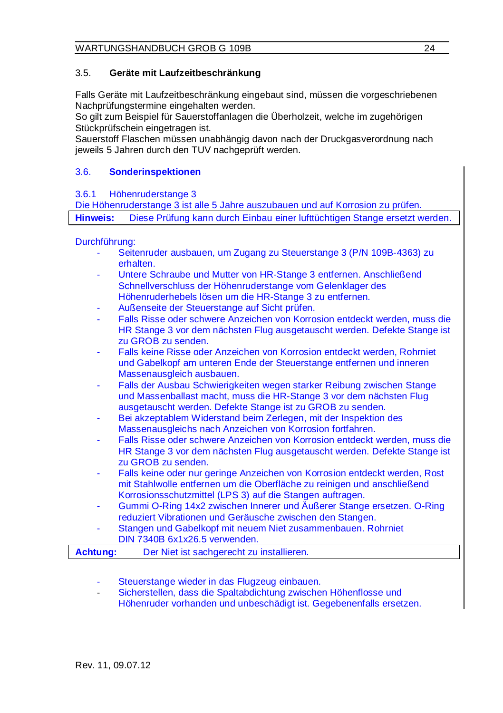#### 3.5. **Geräte mit Laufzeitbeschränkung**

Falls Geräte mit Laufzeitbeschränkung eingebaut sind, müssen die vorgeschriebenen Nachprüfungstermine eingehalten werden.

So gilt zum Beispiel für Sauerstoffanlagen die Überholzeit, welche im zugehörigen Stückprüfschein eingetragen ist.

Sauerstoff Flaschen müssen unabhängig davon nach der Druckgasverordnung nach jeweils 5 Jahren durch den TUV nachgeprüft werden.

#### 3.6. **Sonderinspektionen**

#### 3.6.1 Höhenruderstange 3

Die Höhenruderstange 3 ist alle 5 Jahre auszubauen und auf Korrosion zu prüfen. **Hinweis:** Diese Prüfung kann durch Einbau einer lufttüchtigen Stange ersetzt werden.

#### Durchführung:

- Seitenruder ausbauen, um Zugang zu Steuerstange 3 (P/N 109B-4363) zu erhalten.
- Untere Schraube und Mutter von HR-Stange 3 entfernen. Anschließend Schnellverschluss der Höhenruderstange vom Gelenklager des Höhenruderhebels lösen um die HR-Stange 3 zu entfernen.
- Außenseite der Steuerstange auf Sicht prüfen.
- Falls Risse oder schwere Anzeichen von Korrosion entdeckt werden, muss die HR Stange 3 vor dem nächsten Flug ausgetauscht werden. Defekte Stange ist zu GROB zu senden.
- Falls keine Risse oder Anzeichen von Korrosion entdeckt werden, Rohrniet und Gabelkopf am unteren Ende der Steuerstange entfernen und inneren Massenausgleich ausbauen.
- Falls der Ausbau Schwierigkeiten wegen starker Reibung zwischen Stange und Massenballast macht, muss die HR-Stange 3 vor dem nächsten Flug ausgetauscht werden. Defekte Stange ist zu GROB zu senden.
- Bei akzeptablem Widerstand beim Zerlegen, mit der Inspektion des Massenausgleichs nach Anzeichen von Korrosion fortfahren.
- Falls Risse oder schwere Anzeichen von Korrosion entdeckt werden, muss die HR Stange 3 vor dem nächsten Flug ausgetauscht werden. Defekte Stange ist zu GROB zu senden.
- Falls keine oder nur geringe Anzeichen von Korrosion entdeckt werden, Rost mit Stahlwolle entfernen um die Oberfläche zu reinigen und anschließend Korrosionsschutzmittel (LPS 3) auf die Stangen auftragen.
- Gummi O-Ring 14x2 zwischen Innerer und Äußerer Stange ersetzen. O-Ring reduziert Vibrationen und Geräusche zwischen den Stangen.
- Stangen und Gabelkopf mit neuem Niet zusammenbauen. Rohrniet DIN 7340B 6x1x26.5 verwenden.

| <b>Achtung:</b> | Der Niet ist sachgerecht zu installieren. |  |
|-----------------|-------------------------------------------|--|
|-----------------|-------------------------------------------|--|

- Steuerstange wieder in das Flugzeug einbauen.
- Sicherstellen, dass die Spaltabdichtung zwischen Höhenflosse und Höhenruder vorhanden und unbeschädigt ist. Gegebenenfalls ersetzen.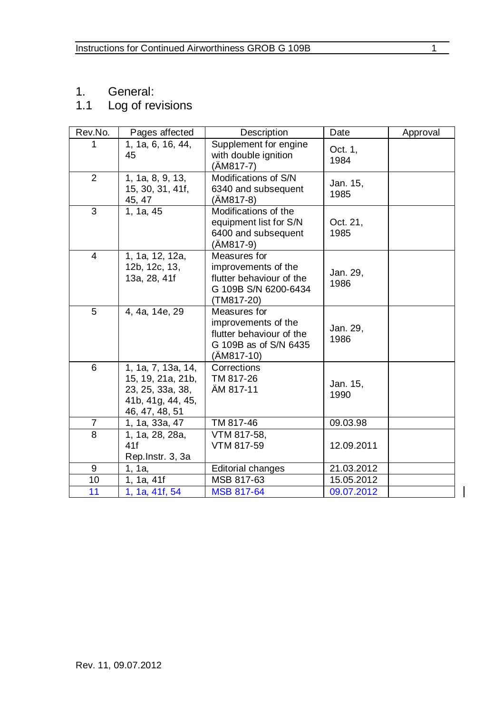1. General:

#### 1.1 Log of revisions

| Rev.No.        | Pages affected                                                                                        | Description                                                                                            | Date             | Approval |
|----------------|-------------------------------------------------------------------------------------------------------|--------------------------------------------------------------------------------------------------------|------------------|----------|
| 1              | 1, 1a, 6, 16, 44,<br>45                                                                               | Supplement for engine<br>with double ignition<br>$(AM817-7)$                                           | Oct. 1,<br>1984  |          |
| 2              | 1, 1a, 8, 9, 13,<br>15, 30, 31, 41f,<br>45, 47                                                        | Modifications of S/N<br>6340 and subsequent<br>(AM817-8)                                               | Jan. 15,<br>1985 |          |
| 3              | 1, 1a, 45                                                                                             | Modifications of the<br>equipment list for S/N<br>6400 and subsequent<br>(ÄM817-9)                     | Oct. 21,<br>1985 |          |
| 4              | 1, 1a, 12, 12a,<br>12b, 12c, 13,<br>13a, 28, 41f                                                      | Measures for<br>improvements of the<br>flutter behaviour of the<br>G 109B S/N 6200-6434<br>(TM817-20)  | Jan. 29,<br>1986 |          |
| 5              | 4, 4a, 14e, 29                                                                                        | Measures for<br>improvements of the<br>flutter behaviour of the<br>G 109B as of S/N 6435<br>(AM817-10) | Jan. 29,<br>1986 |          |
| 6              | 1, 1a, 7, 13a, $14$ ,<br>15, 19, 21a, 21b,<br>23, 25, 33a, 38,<br>41b, 41g, 44, 45,<br>46, 47, 48, 51 | Corrections<br>TM 817-26<br>AM 817-11                                                                  | Jan. 15,<br>1990 |          |
| $\overline{7}$ | 1, 1a, 33a, 47                                                                                        | TM 817-46                                                                                              | 09.03.98         |          |
| 8              | 1, 1a, 28, 28a,<br>41f<br>Rep. Instr. 3, 3a                                                           | VTM 817-58.<br>VTM 817-59                                                                              | 12.09.2011       |          |
| 9              | 1, 1a,                                                                                                | <b>Editorial changes</b>                                                                               | 21.03.2012       |          |
| 10             | 1, 1a, 41f                                                                                            | MSB 817-63                                                                                             | 15.05.2012       |          |
| 11             | 1, 1a, 41f, 54                                                                                        | <b>MSB 817-64</b>                                                                                      | 09.07.2012       |          |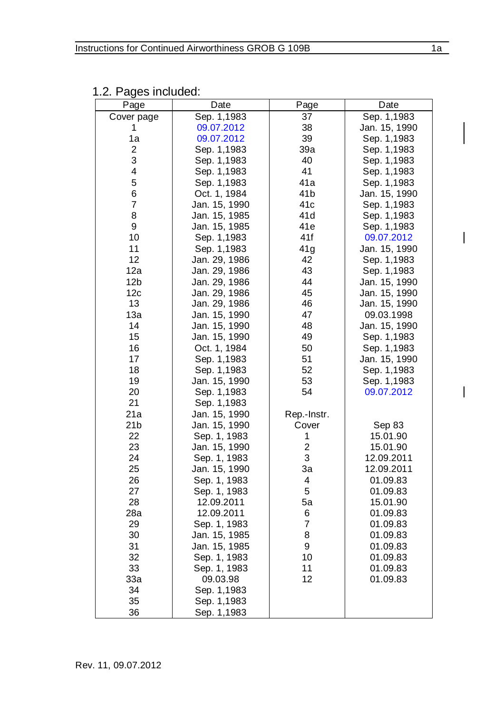| Page            | Date          | Page            | Date          |
|-----------------|---------------|-----------------|---------------|
| Cover page      | Sep. 1,1983   | 37              | Sep. 1,1983   |
| 1               | 09.07.2012    | 38              | Jan. 15, 1990 |
| 1a              | 09.07.2012    | 39              | Sep. 1,1983   |
| 2               | Sep. 1,1983   | 39a             | Sep. 1,1983   |
| 3               | Sep. 1,1983   | 40              | Sep. 1,1983   |
| 4               | Sep. 1,1983   | 41              | Sep. 1,1983   |
| 5               | Sep. 1,1983   | 41a             | Sep. 1,1983   |
| 6               | Oct. 1, 1984  | 41b             | Jan. 15, 1990 |
| $\overline{7}$  | Jan. 15, 1990 | 41c             | Sep. 1,1983   |
| 8               | Jan. 15, 1985 | 41 <sub>d</sub> | Sep. 1,1983   |
| 9               | Jan. 15, 1985 | 41e             | Sep. 1,1983   |
| 10              | Sep. 1,1983   | 41f             | 09.07.2012    |
| 11              | Sep. 1,1983   | 41g             | Jan. 15, 1990 |
| 12              | Jan. 29, 1986 | 42              | Sep. 1,1983   |
| 12a             | Jan. 29, 1986 | 43              | Sep. 1,1983   |
| 12 <sub>b</sub> | Jan. 29, 1986 | 44              | Jan. 15, 1990 |
| 12c             | Jan. 29, 1986 | 45              | Jan. 15, 1990 |
| 13              | Jan. 29, 1986 | 46              | Jan. 15, 1990 |
| 13a             | Jan. 15, 1990 | 47              | 09.03.1998    |
| 14              | Jan. 15, 1990 | 48              | Jan. 15, 1990 |
| 15              | Jan. 15, 1990 | 49              | Sep. 1,1983   |
| 16              | Oct. 1, 1984  | 50              | Sep. 1,1983   |
| 17              | Sep. 1,1983   | 51              | Jan. 15, 1990 |
| 18              | Sep. 1,1983   | 52              | Sep. 1,1983   |
| 19              | Jan. 15, 1990 | 53              | Sep. 1,1983   |
| 20              | Sep. 1,1983   | 54              | 09.07.2012    |
| 21              | Sep. 1,1983   |                 |               |
| 21a             | Jan. 15, 1990 | Rep.-Instr.     |               |
| 21 <sub>b</sub> | Jan. 15, 1990 | Cover           | Sep 83        |
| 22              | Sep. 1, 1983  | 1               | 15.01.90      |
| 23              | Jan. 15, 1990 | $\overline{2}$  | 15.01.90      |
| 24              | Sep. 1, 1983  | 3               | 12.09.2011    |
| 25              | Jan. 15, 1990 | За              | 12.09.2011    |
| 26              | Sep. 1, 1983  | 4               | 01.09.83      |
| 27              | Sep. 1, 1983  | 5               | 01.09.83      |
| 28              | 12.09.2011    | 5a              | 15.01.90      |
| 28a             | 12.09.2011    | 6               | 01.09.83      |
| 29              | Sep. 1, 1983  | $\overline{7}$  | 01.09.83      |
| 30              | Jan. 15, 1985 | 8               | 01.09.83      |
| 31              | Jan. 15, 1985 | 9               | 01.09.83      |
| 32              | Sep. 1, 1983  | 10              | 01.09.83      |
| 33              | Sep. 1, 1983  | 11              | 01.09.83      |
| 33a             | 09.03.98      | 12              | 01.09.83      |
| 34              | Sep. 1,1983   |                 |               |
| 35              | Sep. 1,1983   |                 |               |
| 36              | Sep. 1,1983   |                 |               |

1.2. Pages included:

 $\overline{1}$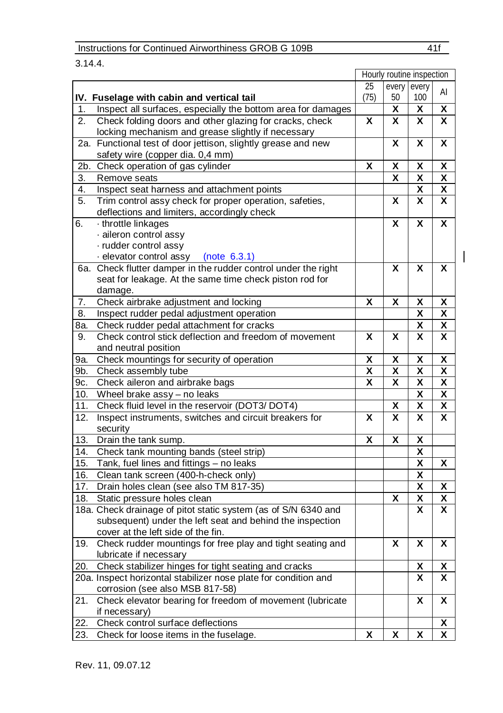#### 3.14.4.

|     |                                                                 |                         | Hourly routine inspection |                         |    |
|-----|-----------------------------------------------------------------|-------------------------|---------------------------|-------------------------|----|
|     |                                                                 | 25                      | every                     | every                   | AI |
|     | IV. Fuselage with cabin and vertical tail                       | (75)                    | 50                        | 100                     |    |
| 1.  | Inspect all surfaces, especially the bottom area for damages    |                         | Χ                         | χ                       | X  |
| 2.  | Check folding doors and other glazing for cracks, check         | X                       | X                         | X                       | X  |
|     | locking mechanism and grease slightly if necessary              |                         |                           |                         |    |
| 2a. | Functional test of door jettison, slightly grease and new       |                         | X                         | x                       | X  |
|     | safety wire (copper dia. 0,4 mm)                                |                         |                           |                         |    |
| 2b. | Check operation of gas cylinder                                 | X                       | χ                         | χ                       | x  |
| 3.  | Remove seats                                                    |                         | X                         | X                       | X  |
| 4.  | Inspect seat harness and attachment points                      |                         |                           | $\overline{\mathbf{x}}$ | X  |
| 5.  | Trim control assy check for proper operation, safeties,         |                         | X                         | x                       | X  |
|     | deflections and limiters, accordingly check                     |                         |                           |                         |    |
| 6.  | throttle linkages                                               |                         | X                         | X                       | X  |
|     | aileron control assy                                            |                         |                           |                         |    |
|     | · rudder control assy                                           |                         |                           |                         |    |
|     | elevator control assy (note 6.3.1)                              |                         |                           |                         |    |
|     | 6a. Check flutter damper in the rudder control under the right  |                         | X                         | X                       | X  |
|     | seat for leakage. At the same time check piston rod for         |                         |                           |                         |    |
|     | damage.                                                         |                         |                           |                         |    |
| 7.  | Check airbrake adjustment and locking                           | χ                       | χ                         | χ                       | χ  |
| 8.  | Inspect rudder pedal adjustment operation                       |                         |                           | X                       | χ  |
| 8a. | Check rudder pedal attachment for cracks                        |                         |                           | χ                       | χ  |
| 9.  | Check control stick deflection and freedom of movement          | X                       | X                         | X                       | X  |
|     | and neutral position                                            |                         |                           |                         |    |
| 9a. | Check mountings for security of operation                       | χ                       | χ                         | χ                       | χ  |
| 9b. | Check assembly tube                                             | $\overline{\mathbf{x}}$ | X                         | X                       | X  |
| 9с. | Check aileron and airbrake bags                                 | X                       | X                         | $\overline{\mathbf{x}}$ | χ  |
| 10. | Wheel brake assy - no leaks                                     |                         |                           | X                       | X  |
| 11. | Check fluid level in the reservoir (DOT3/DOT4)                  |                         | χ                         | χ                       | x  |
| 12. | Inspect instruments, switches and circuit breakers for          | X                       | $\overline{\mathbf{x}}$   | X                       | X  |
|     | security                                                        |                         |                           |                         |    |
| 13. | Drain the tank sump.                                            | X                       | χ                         | χ                       |    |
| 14. | Check tank mounting bands (steel strip)                         |                         |                           | x                       |    |
| 15. | Tank, fuel lines and fittings - no leaks                        |                         |                           | X                       | X  |
| 16. | Clean tank screen (400-h-check only)                            |                         |                           | X                       |    |
| 17. | Drain holes clean (see also TM 817-35)                          |                         |                           | X                       | x  |
| 18. | Static pressure holes clean                                     |                         | Χ                         | χ                       | χ  |
|     | 18a. Check drainage of pitot static system (as of S/N 6340 and  |                         |                           | x                       | X  |
|     | subsequent) under the left seat and behind the inspection       |                         |                           |                         |    |
|     | cover at the left side of the fin.                              |                         |                           |                         |    |
| 19. | Check rudder mountings for free play and tight seating and      |                         | X                         | X                       | X  |
|     | lubricate if necessary                                          |                         |                           |                         |    |
| 20. | Check stabilizer hinges for tight seating and cracks            |                         |                           | X                       | x  |
|     | 20a. Inspect horizontal stabilizer nose plate for condition and |                         |                           | X                       | X  |
|     | corrosion (see also MSB 817-58)                                 |                         |                           |                         |    |
| 21. | Check elevator bearing for freedom of movement (lubricate       |                         |                           | x                       | X  |
|     | if necessary)                                                   |                         |                           |                         |    |
| 22. | Check control surface deflections                               |                         |                           |                         | χ  |
| 23. | Check for loose items in the fuselage.                          | X                       | X                         | X                       | x  |